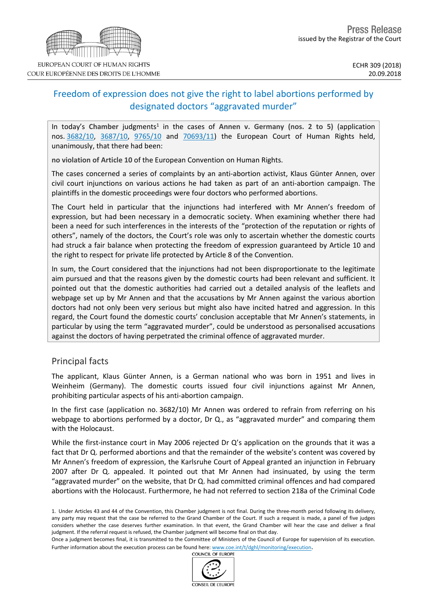# Freedom of expression does not give the right to label abortions performed by designated doctors "aggravated murder"

In today's Chamber judgments<sup>1</sup> in the cases of Annen v. Germany (nos. 2 to 5) (application nos. [3682/10,](http://hudoc.echr.coe.int/eng?i=001-186117) [3687/10,](http://hudoc.echr.coe.int/eng?i=001-186118) [9765/10](http://hudoc.echr.coe.int/eng?i=001-186119) and [70693/11\)](http://hudoc.echr.coe.int/eng?i=001-186123) the European Court of Human Rights held, unanimously, that there had been:

**no violation of Article 10** of the European Convention on Human Rights.

The cases concerned a series of complaints by an anti-abortion activist, Klaus Günter Annen, over civil court injunctions on various actions he had taken as part of an anti-abortion campaign. The plaintiffs in the domestic proceedings were four doctors who performed abortions.

The Court held in particular that the injunctions had interfered with Mr Annen's freedom of expression, but had been necessary in a democratic society. When examining whether there had been a need for such interferences in the interests of the "protection of the reputation or rights of others", namely of the doctors, the Court's role was only to ascertain whether the domestic courts had struck a fair balance when protecting the freedom of expression guaranteed by Article 10 and the right to respect for private life protected by Article 8 of the Convention.

In sum, the Court considered that the injunctions had not been disproportionate to the legitimate aim pursued and that the reasons given by the domestic courts had been relevant and sufficient. It pointed out that the domestic authorities had carried out a detailed analysis of the leaflets and webpage set up by Mr Annen and that the accusations by Mr Annen against the various abortion doctors had not only been very serious but might also have incited hatred and aggression. In this regard, the Court found the domestic courts' conclusion acceptable that Mr Annen's statements, in particular by using the term "aggravated murder", could be understood as personalised accusations against the doctors of having perpetrated the criminal offence of aggravated murder.

## Principal facts

The applicant, Klaus Günter Annen, is a German national who was born in 1951 and lives in Weinheim (Germany). The domestic courts issued four civil injunctions against Mr Annen, prohibiting particular aspects of his anti-abortion campaign.

In the first case (application no. 3682/10) Mr Annen was ordered to refrain from referring on his webpage to abortions performed by a doctor, Dr Q., as "aggravated murder" and comparing them with the Holocaust.

While the first-instance court in May 2006 rejected Dr Q's application on the grounds that it was a fact that Dr Q. performed abortions and that the remainder of the website's content was covered by Mr Annen's freedom of expression, the Karlsruhe Court of Appeal granted an injunction in February 2007 after Dr Q. appealed. It pointed out that Mr Annen had insinuated, by using the term "aggravated murder" on the website, that Dr Q. had committed criminal offences and had compared abortions with the Holocaust. Furthermore, he had not referred to section 218a of the Criminal Code





<sup>1.</sup> Under Articles 43 and 44 of the Convention, this Chamber judgment is not final. During the three-month period following its delivery, any party may request that the case be referred to the Grand Chamber of the Court. If such a request is made, a panel of five judges considers whether the case deserves further examination. In that event, the Grand Chamber will hear the case and deliver a final judgment. If the referral request is refused, the Chamber judgment will become final on that day.

Once a judgment becomes final, it is transmitted to the Committee of Ministers of the Council of Europe for supervision of its execution. Further information about the execution process can be found here: [www.coe.int/t/dghl/monitoring/execution](http://www.coe.int/t/dghl/monitoring/execution).<br>COUNCIL OF EUROPE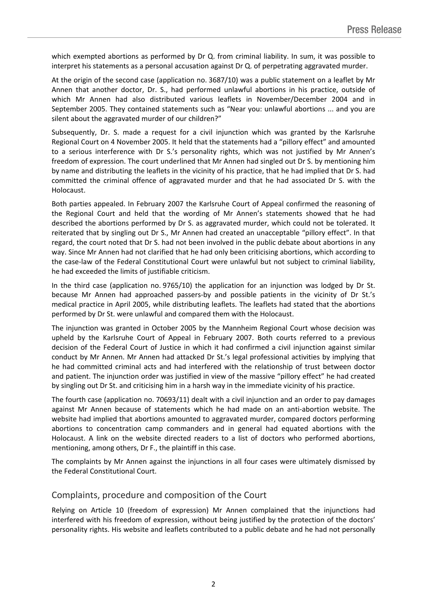which exempted abortions as performed by Dr Q. from criminal liability. In sum, it was possible to interpret his statements as a personal accusation against Dr Q. of perpetrating aggravated murder.

At the origin of the second case (application no. 3687/10) was a public statement on a leaflet by Mr Annen that another doctor, Dr. S., had performed unlawful abortions in his practice, outside of which Mr Annen had also distributed various leaflets in November/December 2004 and in September 2005. They contained statements such as "Near you: unlawful abortions ... and you are silent about the aggravated murder of our children?"

Subsequently, Dr. S. made a request for a civil injunction which was granted by the Karlsruhe Regional Court on 4 November 2005. It held that the statements had a "pillory effect" and amounted to a serious interference with Dr S.'s personality rights, which was not justified by Mr Annen's freedom of expression. The court underlined that Mr Annen had singled out Dr S. by mentioning him by name and distributing the leaflets in the vicinity of his practice, that he had implied that Dr S. had committed the criminal offence of aggravated murder and that he had associated Dr S. with the Holocaust.

Both parties appealed. In February 2007 the Karlsruhe Court of Appeal confirmed the reasoning of the Regional Court and held that the wording of Mr Annen's statements showed that he had described the abortions performed by Dr S. as aggravated murder, which could not be tolerated. It reiterated that by singling out Dr S., Mr Annen had created an unacceptable "pillory effect". In that regard, the court noted that Dr S. had not been involved in the public debate about abortions in any way. Since Mr Annen had not clarified that he had only been criticising abortions, which according to the case-law of the Federal Constitutional Court were unlawful but not subject to criminal liability, he had exceeded the limits of justifiable criticism.

In the third case (application no. 9765/10) the application for an injunction was lodged by Dr St. because Mr Annen had approached passers-by and possible patients in the vicinity of Dr St.'s medical practice in April 2005, while distributing leaflets. The leaflets had stated that the abortions performed by Dr St. were unlawful and compared them with the Holocaust.

The injunction was granted in October 2005 by the Mannheim Regional Court whose decision was upheld by the Karlsruhe Court of Appeal in February 2007. Both courts referred to a previous decision of the Federal Court of Justice in which it had confirmed a civil injunction against similar conduct by Mr Annen. Mr Annen had attacked Dr St.'s legal professional activities by implying that he had committed criminal acts and had interfered with the relationship of trust between doctor and patient. The injunction order was justified in view of the massive "pillory effect" he had created by singling out Dr St. and criticising him in a harsh way in the immediate vicinity of his practice.

The fourth case (application no. 70693/11) dealt with a civil injunction and an order to pay damages against Mr Annen because of statements which he had made on an anti-abortion website. The website had implied that abortions amounted to aggravated murder, compared doctors performing abortions to concentration camp commanders and in general had equated abortions with the Holocaust. A link on the website directed readers to a list of doctors who performed abortions, mentioning, among others, Dr F., the plaintiff in this case.

The complaints by Mr Annen against the injunctions in all four cases were ultimately dismissed by the Federal Constitutional Court.

## Complaints, procedure and composition of the Court

Relying on Article 10 (freedom of expression) Mr Annen complained that the injunctions had interfered with his freedom of expression, without being justified by the protection of the doctors' personality rights. His website and leaflets contributed to a public debate and he had not personally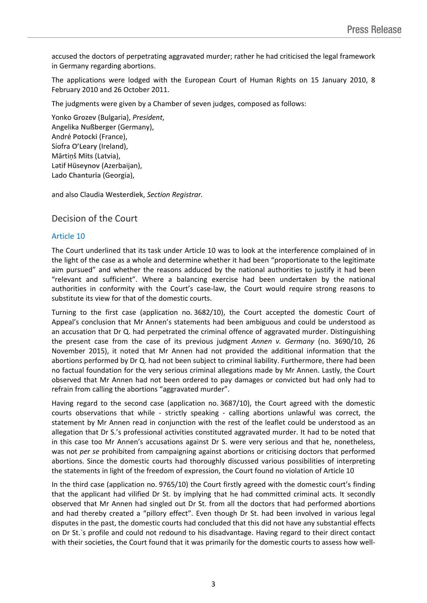accused the doctors of perpetrating aggravated murder; rather he had criticised the legal framework in Germany regarding abortions.

The applications were lodged with the European Court of Human Rights on 15 January 2010, 8 February 2010 and 26 October 2011.

The judgments were given by a Chamber of seven judges, composed as follows:

Yonko **Grozev** (Bulgaria), *President*, Angelika **Nußberger** (Germany), André **Potocki** (France), Síofra **O'Leary** (Ireland), Mārtiņš **Mits** (Latvia), Lәtif **Hüseynov** (Azerbaijan), Lado **Chanturia** (Georgia),

and also Claudia **Westerdiek**, *Section Registrar.*

# Decision of the Court

### Article 10

The Court underlined that its task under Article 10 was to look at the interference complained of in the light of the case as a whole and determine whether it had been "proportionate to the legitimate aim pursued" and whether the reasons adduced by the national authorities to justify it had been "relevant and sufficient". Where a balancing exercise had been undertaken by the national authorities in conformity with the Court's case-law, the Court would require strong reasons to substitute its view for that of the domestic courts.

Turning to the first case (application no. 3682/10), the Court accepted the domestic Court of Appeal's conclusion that Mr Annen's statements had been ambiguous and could be understood as an accusation that Dr Q. had perpetrated the criminal offence of aggravated murder. Distinguishing the present case from the case of its previous judgment *Annen v. Germany* (no. 3690/10, 26 November 2015), it noted that Mr Annen had not provided the additional information that the abortions performed by Dr Q. had not been subject to criminal liability. Furthermore, there had been no factual foundation for the very serious criminal allegations made by Mr Annen. Lastly, the Court observed that Mr Annen had not been ordered to pay damages or convicted but had only had to refrain from calling the abortions "aggravated murder".

Having regard to the second case (application no. 3687/10), the Court agreed with the domestic courts observations that while - strictly speaking - calling abortions unlawful was correct, the statement by Mr Annen read in conjunction with the rest of the leaflet could be understood as an allegation that Dr S.'s professional activities constituted aggravated murder. It had to be noted that in this case too Mr Annen's accusations against Dr S. were very serious and that he, nonetheless, was not *per se* prohibited from campaigning against abortions or criticising doctors that performed abortions. Since the domestic courts had thoroughly discussed various possibilities of interpreting the statements in light of the freedom of expression, the Court found no violation of Article 10

In the third case (application no. 9765/10) the Court firstly agreed with the domestic court's finding that the applicant had vilified Dr St. by implying that he had committed criminal acts. It secondly observed that Mr Annen had singled out Dr St. from all the doctors that had performed abortions and had thereby created a "pillory effect". Even though Dr St. had been involved in various legal disputes in the past, the domestic courts had concluded that this did not have any substantial effects on Dr St.`s profile and could not redound to his disadvantage. Having regard to their direct contact with their societies, the Court found that it was primarily for the domestic courts to assess how well